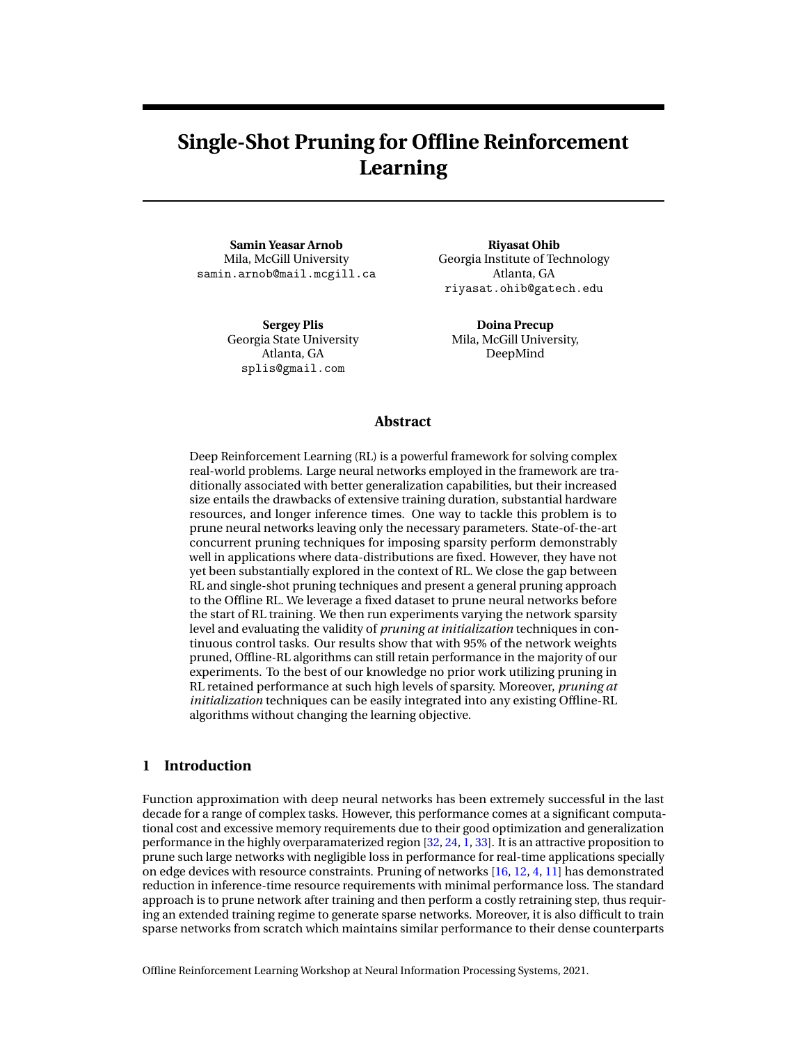# **Single-Shot Pruning for Offline Reinforcement Learning**

**Samin Yeasar Arnob** Mila, McGill University samin.arnob@mail.mcgill.ca

> **Sergey Plis** Georgia State University Atlanta, GA splis@gmail.com

**Riyasat Ohib** Georgia Institute of Technology Atlanta, GA riyasat.ohib@gatech.edu

**Doina Precup** Mila, McGill University, DeepMind

#### **Abstract**

Deep Reinforcement Learning (RL) is a powerful framework for solving complex real-world problems. Large neural networks employed in the framework are traditionally associated with better generalization capabilities, but their increased size entails the drawbacks of extensive training duration, substantial hardware resources, and longer inference times. One way to tackle this problem is to prune neural networks leaving only the necessary parameters. State-of-the-art concurrent pruning techniques for imposing sparsity perform demonstrably well in applications where data-distributions are fixed. However, they have not yet been substantially explored in the context of RL. We close the gap between RL and single-shot pruning techniques and present a general pruning approach to the Offline RL. We leverage a fixed dataset to prune neural networks before the start of RL training. We then run experiments varying the network sparsity level and evaluating the validity of *pruning at initialization* techniques in continuous control tasks. Our results show that with 95% of the network weights pruned, Offline-RL algorithms can still retain performance in the majority of our experiments. To the best of our knowledge no prior work utilizing pruning in RL retained performance at such high levels of sparsity. Moreover, *pruning at initialization* techniques can be easily integrated into any existing Offline-RL algorithms without changing the learning objective.

## **1 Introduction**

Function approximation with deep neural networks has been extremely successful in the last decade for a range of complex tasks. However, this performance comes at a significant computational cost and excessive memory requirements due to their good optimization and generalization performance in the highly overparamaterized region [\[32,](#page-9-0) [24,](#page-9-1) [1,](#page-8-0) [33\]](#page-9-2). It is an attractive proposition to prune such large networks with negligible loss in performance for real-time applications specially on edge devices with resource constraints. Pruning of networks  $[16, 12, 4, 11]$  $[16, 12, 4, 11]$  $[16, 12, 4, 11]$  $[16, 12, 4, 11]$  $[16, 12, 4, 11]$  $[16, 12, 4, 11]$  $[16, 12, 4, 11]$  has demonstrated reduction in inference-time resource requirements with minimal performance loss. The standard approach is to prune network after training and then perform a costly retraining step, thus requiring an extended training regime to generate sparse networks. Moreover, it is also difficult to train sparse networks from scratch which maintains similar performance to their dense counterparts

Offline Reinforcement Learning Workshop at Neural Information Processing Systems, 2021.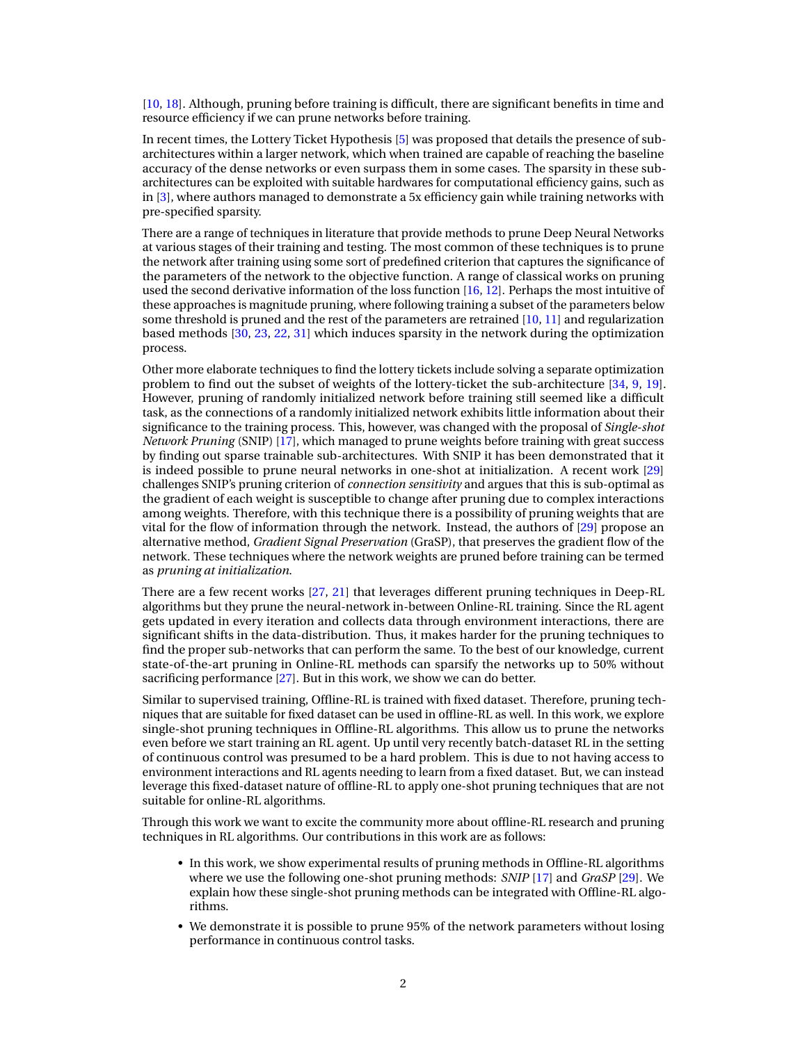[\[10,](#page-8-5) [18\]](#page-8-6). Although, pruning before training is difficult, there are significant benefits in time and resource efficiency if we can prune networks before training.

In recent times, the Lottery Ticket Hypothesis [\[5\]](#page-8-7) was proposed that details the presence of subarchitectures within a larger network, which when trained are capable of reaching the baseline accuracy of the dense networks or even surpass them in some cases. The sparsity in these subarchitectures can be exploited with suitable hardwares for computational efficiency gains, such as in [\[3\]](#page-8-8), where authors managed to demonstrate a 5x efficiency gain while training networks with pre-specified sparsity.

There are a range of techniques in literature that provide methods to prune Deep Neural Networks at various stages of their training and testing. The most common of these techniques is to prune the network after training using some sort of predefined criterion that captures the significance of the parameters of the network to the objective function. A range of classical works on pruning used the second derivative information of the loss function [\[16,](#page-8-1) [12\]](#page-8-2). Perhaps the most intuitive of these approaches is magnitude pruning, where following training a subset of the parameters below some threshold is pruned and the rest of the parameters are retrained [\[10,](#page-8-5) [11\]](#page-8-4) and regularization based methods [\[30,](#page-9-3) [23,](#page-9-4) [22,](#page-8-9) [31\]](#page-9-5) which induces sparsity in the network during the optimization process.

Other more elaborate techniques to find the lottery tickets include solving a separate optimization problem to find out the subset of weights of the lottery-ticket the sub-architecture [\[34,](#page-9-6) [9,](#page-8-10) [19\]](#page-8-11). However, pruning of randomly initialized network before training still seemed like a difficult task, as the connections of a randomly initialized network exhibits little information about their significance to the training process. This, however, was changed with the proposal of *Single-shot Network Pruning* (SNIP) [\[17\]](#page-8-12), which managed to prune weights before training with great success by finding out sparse trainable sub-architectures. With SNIP it has been demonstrated that it is indeed possible to prune neural networks in one-shot at initialization. A recent work [\[29\]](#page-9-7) challenges SNIP's pruning criterion of *connection sensitivity* and argues that this is sub-optimal as the gradient of each weight is susceptible to change after pruning due to complex interactions among weights. Therefore, with this technique there is a possibility of pruning weights that are vital for the flow of information through the network. Instead, the authors of [\[29\]](#page-9-7) propose an alternative method, *Gradient Signal Preservation* (GraSP), that preserves the gradient flow of the network. These techniques where the network weights are pruned before training can be termed as *pruning at initialization*.

There are a few recent works [\[27,](#page-9-8) [21\]](#page-8-13) that leverages different pruning techniques in Deep-RL algorithms but they prune the neural-network in-between Online-RL training. Since the RL agent gets updated in every iteration and collects data through environment interactions, there are significant shifts in the data-distribution. Thus, it makes harder for the pruning techniques to find the proper sub-networks that can perform the same. To the best of our knowledge, current state-of-the-art pruning in Online-RL methods can sparsify the networks up to 50% without sacrificing performance [\[27\]](#page-9-8). But in this work, we show we can do better.

Similar to supervised training, Offline-RL is trained with fixed dataset. Therefore, pruning techniques that are suitable for fixed dataset can be used in offline-RL as well. In this work, we explore single-shot pruning techniques in Offline-RL algorithms. This allow us to prune the networks even before we start training an RL agent. Up until very recently batch-dataset RL in the setting of continuous control was presumed to be a hard problem. This is due to not having access to environment interactions and RL agents needing to learn from a fixed dataset. But, we can instead leverage this fixed-dataset nature of offline-RL to apply one-shot pruning techniques that are not suitable for online-RL algorithms.

Through this work we want to excite the community more about offline-RL research and pruning techniques in RL algorithms. Our contributions in this work are as follows:

- In this work, we show experimental results of pruning methods in Offline-RL algorithms where we use the following one-shot pruning methods: *SNIP* [\[17\]](#page-8-12) and *GraSP* [\[29\]](#page-9-7). We explain how these single-shot pruning methods can be integrated with Offline-RL algorithms.
- We demonstrate it is possible to prune 95% of the network parameters without losing performance in continuous control tasks.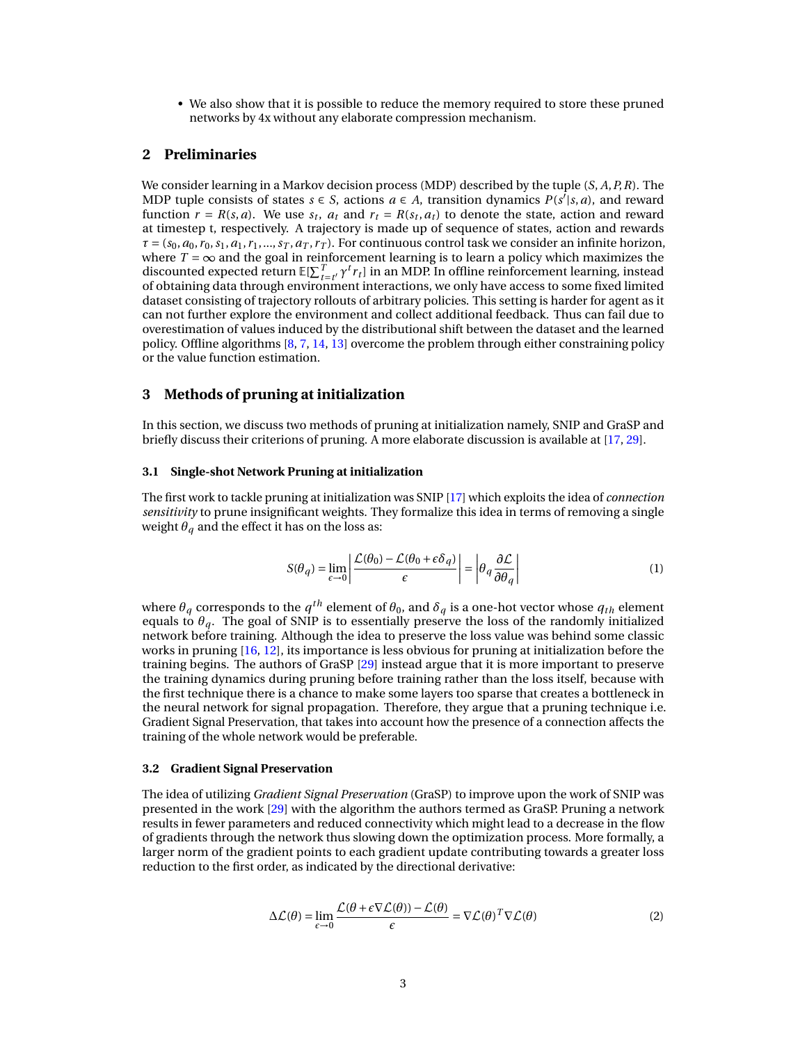• We also show that it is possible to reduce the memory required to store these pruned networks by 4x without any elaborate compression mechanism.

# **2 Preliminaries**

We consider learning in a Markov decision process (MDP) described by the tuple (*S*, *A*,*P*,*R*). The MDP tuple consists of states  $s \in S$ , actions  $a \in A$ , transition dynamics  $P(s'|s, a)$ , and reward function  $r = R(s, a)$ . We use  $s_t$ ,  $a_t$  and  $r_t = R(s_t, a_t)$  to denote the state, action and reward at timestep t, respectively. A trajectory is made up of sequence of states, action and rewards  $\tau = (s_0, a_0, r_0, s_1, a_1, r_1, \ldots, s_T, a_T, r_T)$ . For continuous control task we consider an infinite horizon, where  $T = \infty$  and the goal in reinforcement learning is to learn a policy which maximizes the discounted expected return  $\mathbb{E}[\sum_{t=t'}^{T} \gamma^t r_t]$  in an MDP. In offline reinforcement learning, instead of obtaining data through environment interactions, we only have access to some fixed limited dataset consisting of trajectory rollouts of arbitrary policies. This setting is harder for agent as it can not further explore the environment and collect additional feedback. Thus can fail due to overestimation of values induced by the distributional shift between the dataset and the learned policy. Offline algorithms [\[8,](#page-8-14) [7,](#page-8-15) [14,](#page-8-16) [13\]](#page-8-17) overcome the problem through either constraining policy or the value function estimation.

# **3 Methods of pruning at initialization**

In this section, we discuss two methods of pruning at initialization namely, SNIP and GraSP and briefly discuss their criterions of pruning. A more elaborate discussion is available at [\[17,](#page-8-12) [29\]](#page-9-7).

#### **3.1 Single-shot Network Pruning at initialization**

The first work to tackle pruning at initialization was SNIP [\[17\]](#page-8-12) which exploits the idea of *connection sensitivity* to prune insignificant weights. They formalize this idea in terms of removing a single weight  $\theta_q$  and the effect it has on the loss as:

$$
S(\theta_q) = \lim_{\epsilon \to 0} \left| \frac{\mathcal{L}(\theta_0) - \mathcal{L}(\theta_0 + \epsilon \delta_q)}{\epsilon} \right| = \left| \theta_q \frac{\partial \mathcal{L}}{\partial \theta_q} \right| \tag{1}
$$

where  $\theta_q$  corresponds to the  $q^{th}$  element of  $\theta_0$ , and  $\delta_q$  is a one-hot vector whose  $q_{th}$  element equals to  $\theta_a$ . The goal of SNIP is to essentially preserve the loss of the randomly initialized network before training. Although the idea to preserve the loss value was behind some classic works in pruning [\[16,](#page-8-1) [12\]](#page-8-2), its importance is less obvious for pruning at initialization before the training begins. The authors of GraSP [\[29\]](#page-9-7) instead argue that it is more important to preserve the training dynamics during pruning before training rather than the loss itself, because with the first technique there is a chance to make some layers too sparse that creates a bottleneck in the neural network for signal propagation. Therefore, they argue that a pruning technique i.e. Gradient Signal Preservation, that takes into account how the presence of a connection affects the training of the whole network would be preferable.

#### **3.2 Gradient Signal Preservation**

The idea of utilizing *Gradient Signal Preservation* (GraSP) to improve upon the work of SNIP was presented in the work [\[29\]](#page-9-7) with the algorithm the authors termed as GraSP. Pruning a network results in fewer parameters and reduced connectivity which might lead to a decrease in the flow of gradients through the network thus slowing down the optimization process. More formally, a larger norm of the gradient points to each gradient update contributing towards a greater loss reduction to the first order, as indicated by the directional derivative:

<span id="page-2-0"></span>
$$
\Delta \mathcal{L}(\theta) = \lim_{\epsilon \to 0} \frac{\mathcal{L}(\theta + \epsilon \nabla \mathcal{L}(\theta)) - \mathcal{L}(\theta)}{\epsilon} = \nabla \mathcal{L}(\theta)^T \nabla \mathcal{L}(\theta)
$$
\n(2)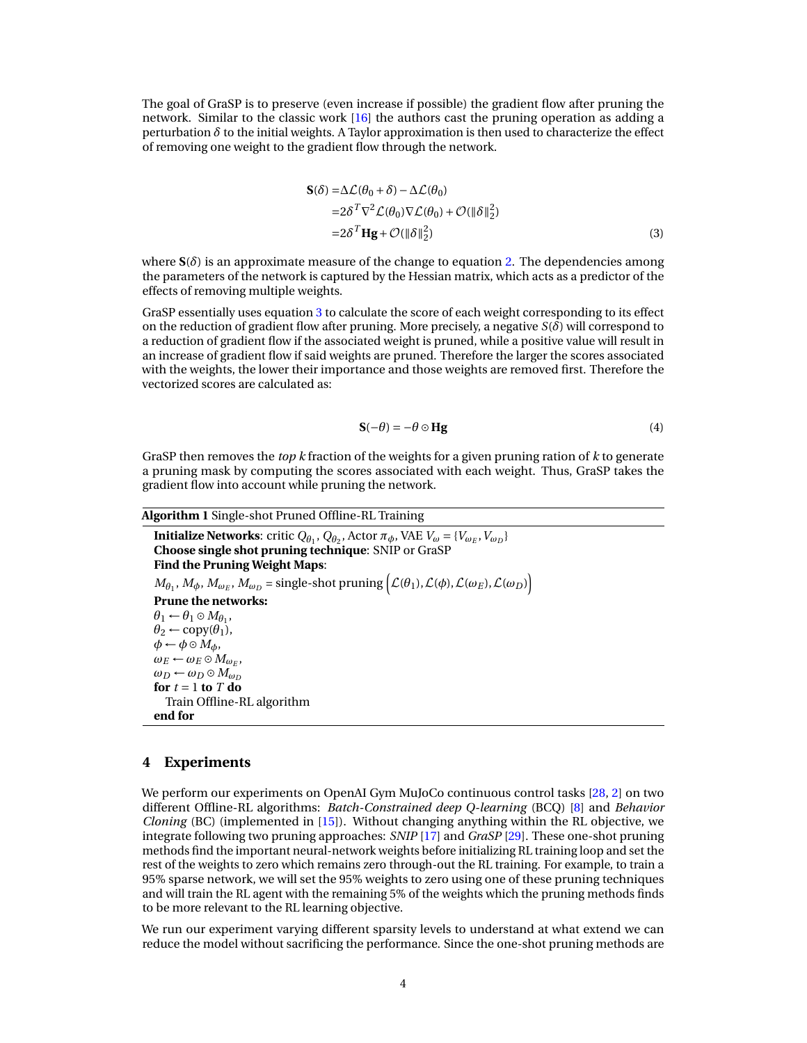The goal of GraSP is to preserve (even increase if possible) the gradient flow after pruning the network. Similar to the classic work [\[16\]](#page-8-1) the authors cast the pruning operation as adding a perturbation *δ* to the initial weights. A Taylor approximation is then used to characterize the effect of removing one weight to the gradient flow through the network.

<span id="page-3-0"></span>
$$
\mathbf{S}(\delta) = \Delta \mathcal{L}(\theta_0 + \delta) - \Delta \mathcal{L}(\theta_0)
$$
  
=  $2\delta^T \nabla^2 \mathcal{L}(\theta_0) \nabla \mathcal{L}(\theta_0) + \mathcal{O}(\|\delta\|_2^2)$   
=  $2\delta^T \mathbf{H} \mathbf{g} + \mathcal{O}(\|\delta\|_2^2)$  (3)

where  $S(\delta)$  is an approximate measure of the change to equation [2.](#page-2-0) The dependencies among the parameters of the network is captured by the Hessian matrix, which acts as a predictor of the effects of removing multiple weights.

GraSP essentially uses equation [3](#page-3-0) to calculate the score of each weight corresponding to its effect on the reduction of gradient flow after pruning. More precisely, a negative  $S(\delta)$  will correspond to a reduction of gradient flow if the associated weight is pruned, while a positive value will result in an increase of gradient flow if said weights are pruned. Therefore the larger the scores associated with the weights, the lower their importance and those weights are removed first. Therefore the vectorized scores are calculated as:

$$
\mathbf{S}(-\theta) = -\theta \odot \mathbf{H}\mathbf{g} \tag{4}
$$

GraSP then removes the *top k* fraction of the weights for a given pruning ration of *k* to generate a pruning mask by computing the scores associated with each weight. Thus, GraSP takes the gradient flow into account while pruning the network.

#### <span id="page-3-1"></span>**Algorithm 1** Single-shot Pruned Offline-RL Training

**Initialize Networks**: critic  $Q_{\theta_1}$ ,  $Q_{\theta_2}$ , Actor  $\pi_{\phi}$ , VAE  $V_{\omega} = \{V_{\omega_E}, V_{\omega_D}\}$ **Choose single shot pruning technique**: SNIP or GraSP **Find the Pruning Weight Maps**:  $M_{\theta_1}$ ,  $M_{\phi}$ ,  $M_{\omega_E}$ ,  $M_{\omega_D}$  = single-shot pruning  $\left( \mathcal{L}(\theta_1), \mathcal{L}(\phi), \mathcal{L}(\omega_E), \mathcal{L}(\omega_D) \right)$ **Prune the networks:**  $\theta_1 \leftarrow \theta_1 \odot M_{\theta_1}$  $\theta_2 \leftarrow \text{copy}(\theta_1),$  $\phi \leftarrow \phi \circ M_{\phi},$  $\omega_E \leftarrow \omega_E \circ M_{\omega_E}$  $\omega_D \leftarrow \omega_D \odot M_{\omega_D}$ **for**  $t = 1$  **to**  $T$  **do** Train Offline-RL algorithm **end for**

#### **4 Experiments**

We perform our experiments on OpenAI Gym MuJoCo continuous control tasks [\[28,](#page-9-9) [2\]](#page-8-18) on two different Offline-RL algorithms: *Batch-Constrained deep Q-learning* (BCQ) [\[8\]](#page-8-14) and *Behavior Cloning* (BC) (implemented in [\[15\]](#page-8-19)). Without changing anything within the RL objective, we integrate following two pruning approaches: *SNIP* [\[17\]](#page-8-12) and *GraSP* [\[29\]](#page-9-7). These one-shot pruning methods find the important neural-network weights before initializing RL training loop and set the rest of the weights to zero which remains zero through-out the RL training. For example, to train a 95% sparse network, we will set the 95% weights to zero using one of these pruning techniques and will train the RL agent with the remaining 5% of the weights which the pruning methods finds to be more relevant to the RL learning objective.

We run our experiment varying different sparsity levels to understand at what extend we can reduce the model without sacrificing the performance. Since the one-shot pruning methods are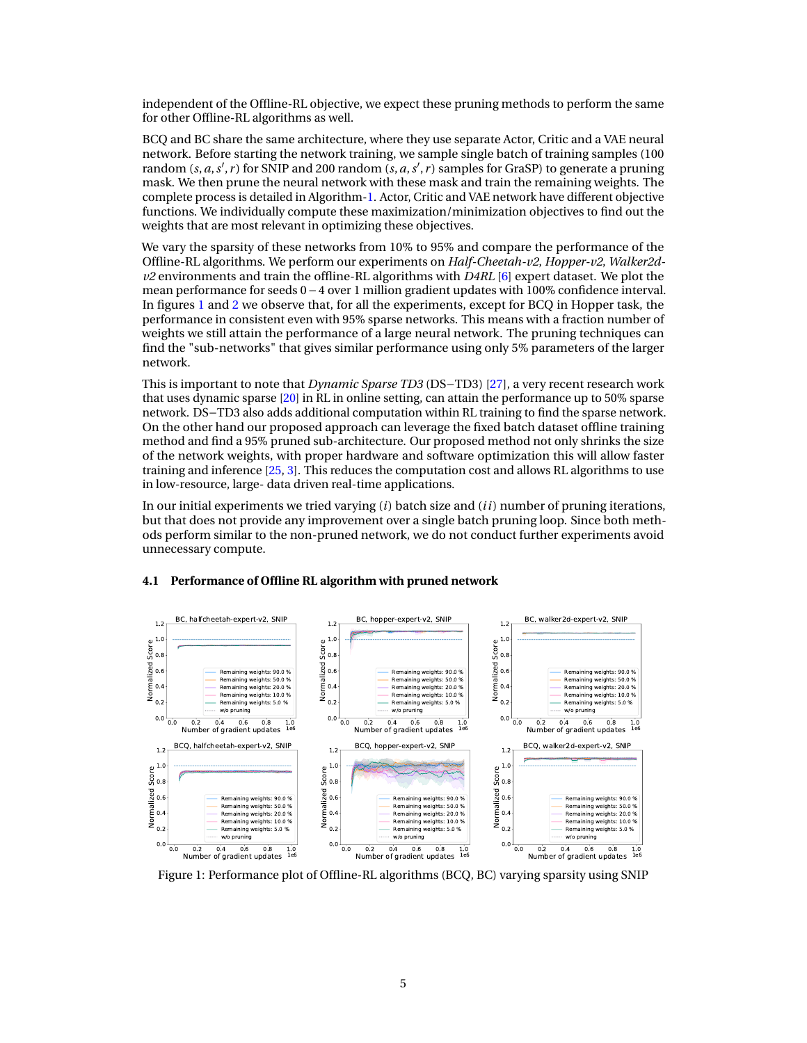independent of the Offline-RL objective, we expect these pruning methods to perform the same for other Offline-RL algorithms as well.

BCQ and BC share the same architecture, where they use separate Actor, Critic and a VAE neural network. Before starting the network training, we sample single batch of training samples (100 random (*s*, *a*, *s'*, *r*) for SNIP and 200 random (*s*, *a*, *s'*, *r*) samples for GraSP) to generate a pruning mask. We then prune the neural network with these mask and train the remaining weights. The complete process is detailed in Algorithm[-1.](#page-3-1) Actor, Critic and VAE network have different objective functions. We individually compute these maximization/minimization objectives to find out the weights that are most relevant in optimizing these objectives.

We vary the sparsity of these networks from 10% to 95% and compare the performance of the Offline-RL algorithms. We perform our experiments on *Half-Cheetah-v2*, *Hopper-v2*, *Walker2dv2* environments and train the offline-RL algorithms with *D4RL* [\[6\]](#page-8-20) expert dataset. We plot the mean performance for seeds 0 – 4 over 1 million gradient updates with 100% confidence interval. In figures [1](#page-4-0) and [2](#page-5-0) we observe that, for all the experiments, except for BCQ in Hopper task, the performance in consistent even with 95% sparse networks. This means with a fraction number of weights we still attain the performance of a large neural network. The pruning techniques can find the "sub-networks" that gives similar performance using only 5% parameters of the larger network.

This is important to note that *Dynamic Sparse TD3* (DS−TD3) [\[27\]](#page-9-8), a very recent research work that uses dynamic sparse [\[20\]](#page-8-21) in RL in online setting, can attain the performance up to 50% sparse network. DS−TD3 also adds additional computation within RL training to find the sparse network. On the other hand our proposed approach can leverage the fixed batch dataset offline training method and find a 95% pruned sub-architecture. Our proposed method not only shrinks the size of the network weights, with proper hardware and software optimization this will allow faster training and inference [\[25,](#page-9-10) [3\]](#page-8-8). This reduces the computation cost and allows RL algorithms to use in low-resource, large- data driven real-time applications.

In our initial experiments we tried varying (*i*) batch size and (*i i*) number of pruning iterations, but that does not provide any improvement over a single batch pruning loop. Since both methods perform similar to the non-pruned network, we do not conduct further experiments avoid unnecessary compute.

<span id="page-4-0"></span>

# **4.1 Performance of Offline RL algorithm with pruned network**

Figure 1: Performance plot of Offline-RL algorithms (BCQ, BC) varying sparsity using SNIP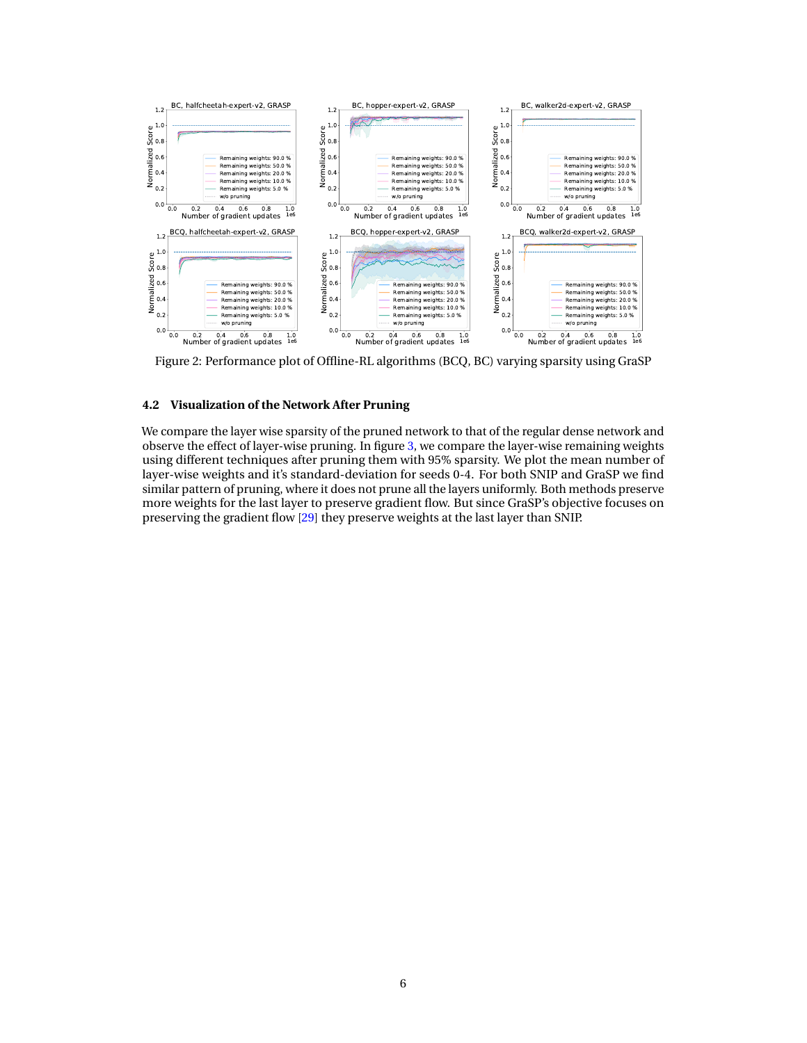<span id="page-5-0"></span>

Figure 2: Performance plot of Offline-RL algorithms (BCQ, BC) varying sparsity using GraSP

## **4.2 Visualization of the Network After Pruning**

We compare the layer wise sparsity of the pruned network to that of the regular dense network and observe the effect of layer-wise pruning. In figure [3,](#page-6-0) we compare the layer-wise remaining weights using different techniques after pruning them with 95% sparsity. We plot the mean number of layer-wise weights and it's standard-deviation for seeds 0-4. For both SNIP and GraSP we find similar pattern of pruning, where it does not prune all the layers uniformly. Both methods preserve more weights for the last layer to preserve gradient flow. But since GraSP's objective focuses on preserving the gradient flow [\[29\]](#page-9-7) they preserve weights at the last layer than SNIP.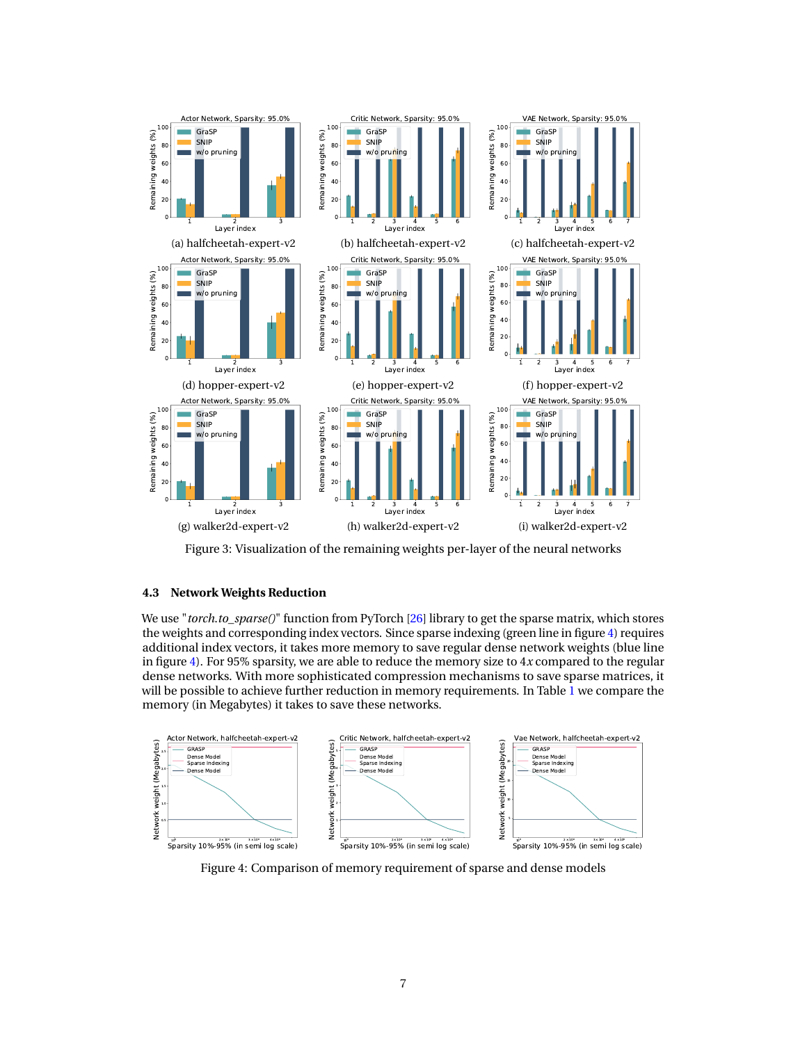<span id="page-6-0"></span>

Figure 3: Visualization of the remaining weights per-layer of the neural networks

# **4.3 Network Weights Reduction**

We use "*torch*.*to\_sparse()*" function from PyTorch [\[26\]](#page-9-11) library to get the sparse matrix, which stores the weights and corresponding index vectors. Since sparse indexing (green line in figure [4\)](#page-6-1) requires additional index vectors, it takes more memory to save regular dense network weights (blue line in figure [4\)](#page-6-1). For 95% sparsity, we are able to reduce the memory size to 4*x* compared to the regular dense networks. With more sophisticated compression mechanisms to save sparse matrices, it will be possible to achieve further reduction in memory requirements. In Table  $\hat{1}$  $\hat{1}$  $\hat{1}$  we compare the memory (in Megabytes) it takes to save these networks.

<span id="page-6-1"></span>

Figure 4: Comparison of memory requirement of sparse and dense models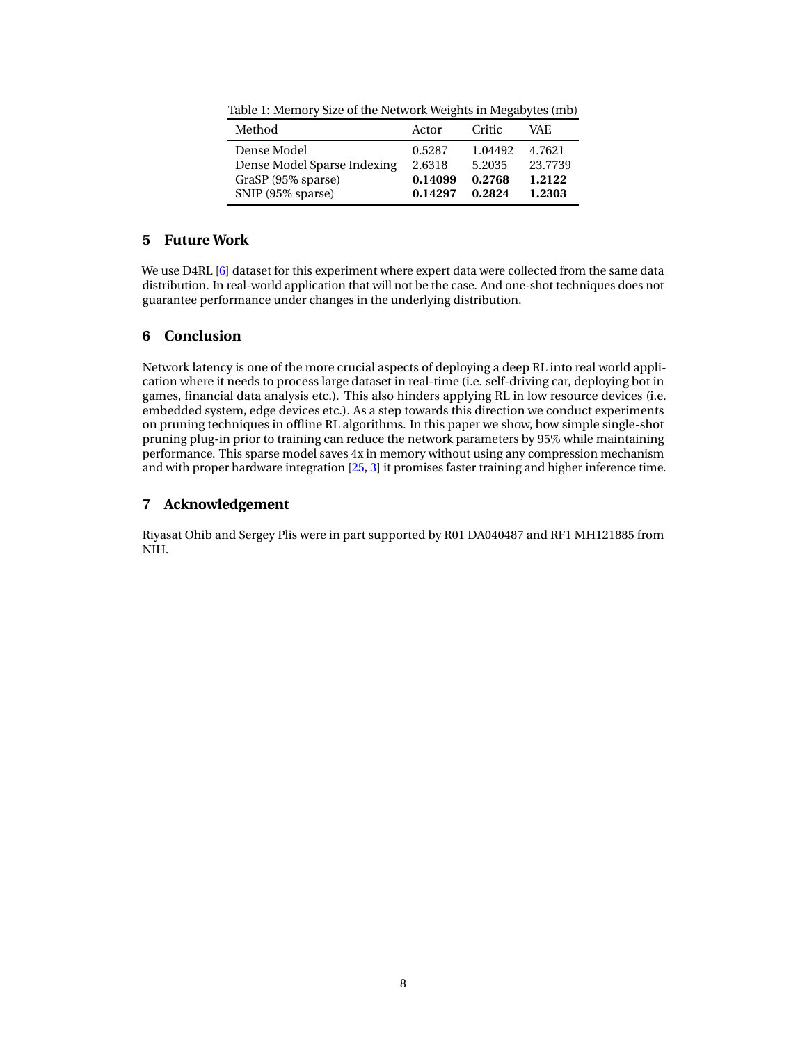| Method                      | Actor   | Critic  | VAE.    |
|-----------------------------|---------|---------|---------|
| Dense Model                 | 0.5287  | 1.04492 | 4.7621  |
| Dense Model Sparse Indexing | 2.6318  | 5.2035  | 23.7739 |
| GraSP (95% sparse)          | 0.14099 | 0.2768  | 1.2122  |
| SNIP (95% sparse)           | 0.14297 | 0.2824  | 1.2303  |

<span id="page-7-0"></span>Table 1: Memory Size of the Network Weights in Megabytes (mb)

# **5 Future Work**

We use D4RL [\[6\]](#page-8-20) dataset for this experiment where expert data were collected from the same data distribution. In real-world application that will not be the case. And one-shot techniques does not guarantee performance under changes in the underlying distribution.

# **6 Conclusion**

Network latency is one of the more crucial aspects of deploying a deep RL into real world application where it needs to process large dataset in real-time (i.e. self-driving car, deploying bot in games, financial data analysis etc.). This also hinders applying RL in low resource devices (i.e. embedded system, edge devices etc.). As a step towards this direction we conduct experiments on pruning techniques in offline RL algorithms. In this paper we show, how simple single-shot pruning plug-in prior to training can reduce the network parameters by 95% while maintaining performance. This sparse model saves 4x in memory without using any compression mechanism and with proper hardware integration [\[25,](#page-9-10) [3\]](#page-8-8) it promises faster training and higher inference time.

# **7 Acknowledgement**

Riyasat Ohib and Sergey Plis were in part supported by R01 DA040487 and RF1 MH121885 from NIH.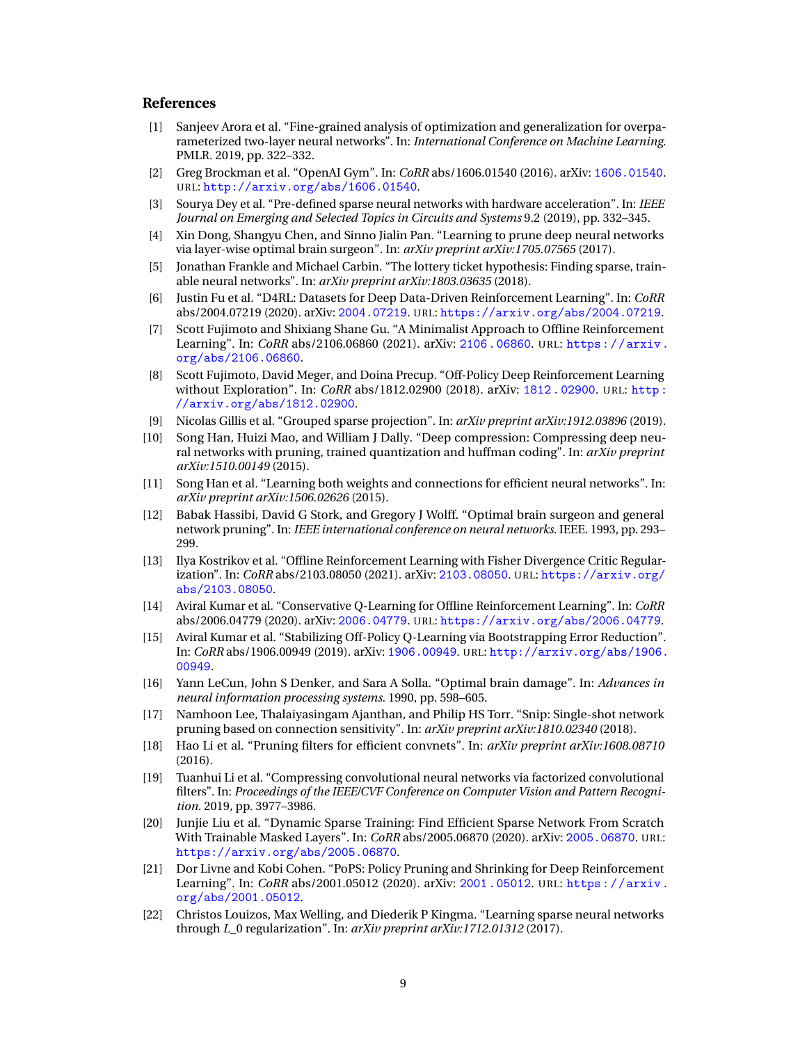# **References**

- <span id="page-8-0"></span>[1] Sanjeev Arora et al. "Fine-grained analysis of optimization and generalization for overparameterized two-layer neural networks". In: *International Conference on Machine Learning*. PMLR. 2019, pp. 322–332.
- <span id="page-8-18"></span>[2] Greg Brockman et al. "OpenAI Gym". In: *CoRR* abs/1606.01540 (2016). arXiv: [1606.01540](https://arxiv.org/abs/1606.01540). URL: <http://arxiv.org/abs/1606.01540>.
- <span id="page-8-8"></span>[3] Sourya Dey et al. "Pre-defined sparse neural networks with hardware acceleration". In: *IEEE Journal on Emerging and Selected Topics in Circuits and Systems* 9.2 (2019), pp. 332–345.
- <span id="page-8-3"></span>[4] Xin Dong, Shangyu Chen, and Sinno Jialin Pan. "Learning to prune deep neural networks via layer-wise optimal brain surgeon". In: *arXiv preprint arXiv:1705.07565* (2017).
- <span id="page-8-7"></span>[5] Jonathan Frankle and Michael Carbin. "The lottery ticket hypothesis: Finding sparse, trainable neural networks". In: *arXiv preprint arXiv:1803.03635* (2018).
- <span id="page-8-20"></span>[6] Justin Fu et al. "D4RL: Datasets for Deep Data-Driven Reinforcement Learning". In: *CoRR* abs/2004.07219 (2020). arXiv: [2004.07219](https://arxiv.org/abs/2004.07219). URL: <https://arxiv.org/abs/2004.07219>.
- <span id="page-8-15"></span>[7] Scott Fujimoto and Shixiang Shane Gu. "A Minimalist Approach to Offline Reinforcement Learning". In: *CoRR* abs/2106.06860 (2021). arXiv: [2106.06860](https://arxiv.org/abs/2106.06860). URL: [https://arxiv.](https://arxiv.org/abs/2106.06860) [org/abs/2106.06860](https://arxiv.org/abs/2106.06860).
- <span id="page-8-14"></span>[8] Scott Fujimoto, David Meger, and Doina Precup. "Off-Policy Deep Reinforcement Learning without Exploration". In: *CoRR* abs/1812.02900 (2018). arXiv: [1812 . 02900](https://arxiv.org/abs/1812.02900). URL: [http :](http://arxiv.org/abs/1812.02900) [//arxiv.org/abs/1812.02900](http://arxiv.org/abs/1812.02900).
- <span id="page-8-10"></span>[9] Nicolas Gillis et al. "Grouped sparse projection". In: *arXiv preprint arXiv:1912.03896* (2019).
- <span id="page-8-5"></span>[10] Song Han, Huizi Mao, and William J Dally. "Deep compression: Compressing deep neural networks with pruning, trained quantization and huffman coding". In: *arXiv preprint arXiv:1510.00149* (2015).
- <span id="page-8-4"></span>[11] Song Han et al. "Learning both weights and connections for efficient neural networks". In: *arXiv preprint arXiv:1506.02626* (2015).
- <span id="page-8-2"></span>[12] Babak Hassibi, David G Stork, and Gregory J Wolff. "Optimal brain surgeon and general network pruning". In: *IEEE international conference on neural networks*. IEEE. 1993, pp. 293– 299.
- <span id="page-8-17"></span>[13] Ilya Kostrikov et al. "Offline Reinforcement Learning with Fisher Divergence Critic Regularization". In: *CoRR* abs/2103.08050 (2021). arXiv: [2103.08050](https://arxiv.org/abs/2103.08050). URL: [https://arxiv.org/](https://arxiv.org/abs/2103.08050) [abs/2103.08050](https://arxiv.org/abs/2103.08050).
- <span id="page-8-16"></span>[14] Aviral Kumar et al. "Conservative Q-Learning for Offline Reinforcement Learning". In: *CoRR* abs/2006.04779 (2020). arXiv: [2006.04779](https://arxiv.org/abs/2006.04779). URL: <https://arxiv.org/abs/2006.04779>.
- <span id="page-8-19"></span>[15] Aviral Kumar et al. "Stabilizing Off-Policy Q-Learning via Bootstrapping Error Reduction". In: *CoRR* abs/1906.00949 (2019). arXiv: [1906.00949](https://arxiv.org/abs/1906.00949). URL: [http://arxiv.org/abs/1906.](http://arxiv.org/abs/1906.00949) [00949](http://arxiv.org/abs/1906.00949).
- <span id="page-8-1"></span>[16] Yann LeCun, John S Denker, and Sara A Solla. "Optimal brain damage". In: *Advances in neural information processing systems*. 1990, pp. 598–605.
- <span id="page-8-12"></span>[17] Namhoon Lee, Thalaiyasingam Ajanthan, and Philip HS Torr. "Snip: Single-shot network pruning based on connection sensitivity". In: *arXiv preprint arXiv:1810.02340* (2018).
- <span id="page-8-6"></span>[18] Hao Li et al. "Pruning filters for efficient convnets". In: *arXiv preprint arXiv:1608.08710* (2016).
- <span id="page-8-11"></span>[19] Tuanhui Li et al. "Compressing convolutional neural networks via factorized convolutional filters". In: *Proceedings of the IEEE/CVF Conference on Computer Vision and Pattern Recognition*. 2019, pp. 3977–3986.
- <span id="page-8-21"></span>[20] Junjie Liu et al. "Dynamic Sparse Training: Find Efficient Sparse Network From Scratch With Trainable Masked Layers". In: *CoRR* abs/2005.06870 (2020). arXiv: [2005.06870](https://arxiv.org/abs/2005.06870). URL: <https://arxiv.org/abs/2005.06870>.
- <span id="page-8-13"></span>[21] Dor Livne and Kobi Cohen. "PoPS: Policy Pruning and Shrinking for Deep Reinforcement Learning". In: *CoRR* abs/2001.05012 (2020). arXiv: [2001.05012](https://arxiv.org/abs/2001.05012). URL: [https://arxiv.](https://arxiv.org/abs/2001.05012) [org/abs/2001.05012](https://arxiv.org/abs/2001.05012).
- <span id="page-8-9"></span>[22] Christos Louizos, Max Welling, and Diederik P Kingma. "Learning sparse neural networks through *L*\_0 regularization". In: *arXiv preprint arXiv:1712.01312* (2017).